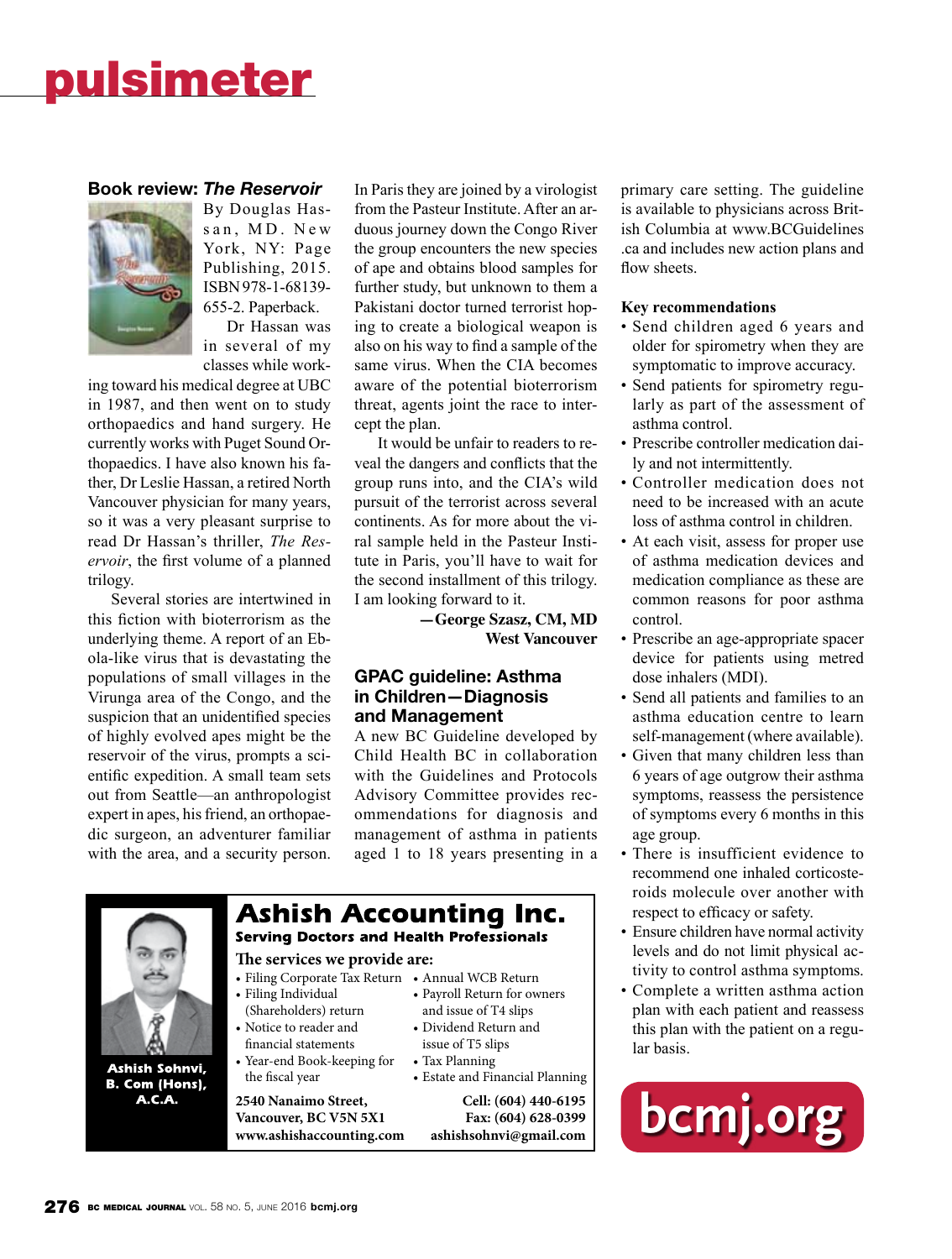#### **Book review:** *The Reservoir*



By Douglas Hassan, MD. New York, NY: Page Publishing, 2015. ISBN 978-1-68139- 655-2. Paperback. Dr Hassan was

in several of my classes while work-

ing toward his medical degree at UBC in 1987, and then went on to study orthopaedics and hand surgery. He currently works with Puget Sound Orthopaedics. I have also known his father, Dr Leslie Hassan, a retired North Vancouver physician for many years, so it was a very pleasant surprise to read Dr Hassan's thriller, *The Reservoir*, the first volume of a planned trilogy.

Several stories are intertwined in this fiction with bioterrorism as the underlying theme. A report of an Ebola-like virus that is devastating the populations of small villages in the Virunga area of the Congo, and the suspicion that an unidentified species of highly evolved apes might be the reservoir of the virus, prompts a scientific expedition. A small team sets out from Seattle—an anthropologist expert in apes, his friend, an orthopaedic surgeon, an adventurer familiar with the area, and a security person. In Paris they are joined by a virologist from the Pasteur Institute. After an arduous journey down the Congo River the group encounters the new species of ape and obtains blood samples for further study, but unknown to them a Pakistani doctor turned terrorist hoping to create a biological weapon is also on his way to find a sample of the same virus. When the CIA becomes aware of the potential bioterrorism threat, agents joint the race to intercept the plan.

It would be unfair to readers to reveal the dangers and conflicts that the group runs into, and the CIA's wild pursuit of the terrorist across several continents. As for more about the viral sample held in the Pasteur Institute in Paris, you'll have to wait for the second installment of this trilogy. I am looking forward to it.

> **—George Szasz, CM, MD West Vancouver**

#### **GPAC guideline: Asthma in Children—Diagnosis and Management**

A new BC Guideline developed by Child Health BC in collaboration with the Guidelines and Protocols Advisory Committee provides recommendations for diagnosis and management of asthma in patients aged 1 to 18 years presenting in a



Ashish Sohnvi, B. Com (Hons), A.C.A.

#### **Ashish Accounting Inc. Serving Doctors and Health Professionals The services we provide are:** • Filing Corporate Tax Return • Annual WCB Return • Filing Individual (Shareholders) return and issue of T4 slips • Notice to reader and • Dividend Return and

- financial statements • Year-end Book-keeping for
- the fiscal year

**Vancouver, BC V5N 5X1 Fax: (604) 628-0399 www.ashishaccounting.com ashishsohnvi@gmail.com**

- • Payroll Return for owners issue of T5 slips • Tax Planning
- • Estate and Financial Planning

**2540 Nanaimo Street, Cell: (604) 440-6195**

primary care setting. The guideline is available to physicians across British Columbia at www.BCGuidelines .ca and includes new action plans and flow sheets.

#### **Key recommendations**

- Send children aged 6 years and older for spirometry when they are symptomatic to improve accuracy.
- Send patients for spirometry regularly as part of the assessment of asthma control.
- Prescribe controller medication daily and not intermittently.
- Controller medication does not need to be increased with an acute loss of asthma control in children.
- At each visit, assess for proper use of asthma medication devices and medication compliance as these are common reasons for poor asthma control.
- Prescribe an age-appropriate spacer device for patients using metred dose inhalers (MDI).
- Send all patients and families to an asthma education centre to learn self-management (where available).
- Given that many children less than 6 years of age outgrow their asthma symptoms, reassess the persistence of symptoms every 6 months in this age group.
- There is insufficient evidence to recommend one inhaled corticosteroids molecule over another with respect to efficacy or safety.
- Ensure children have normal activity levels and do not limit physical activity to control asthma symptoms.
- Complete a written asthma action plan with each patient and reassess this plan with the patient on a regular basis.

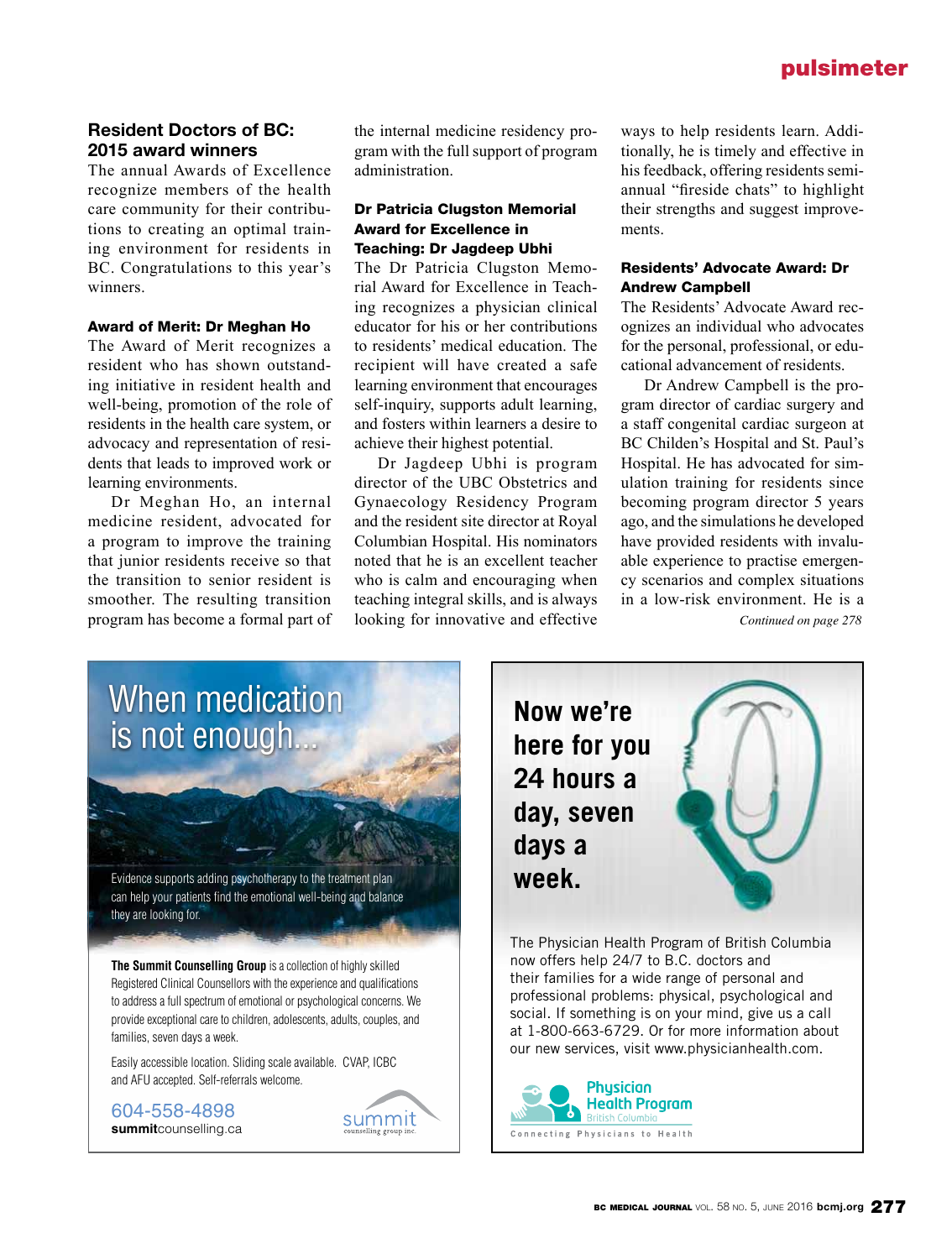#### **Resident Doctors of BC: 2015 award winners**

The annual Awards of Excellence recognize members of the health care community for their contributions to creating an optimal training environment for residents in BC. Congratulations to this year's winners.

#### Award of Merit: Dr Meghan Ho

The Award of Merit recognizes a resident who has shown outstanding initiative in resident health and well-being, promotion of the role of residents in the health care system, or advocacy and representation of residents that leads to improved work or learning environments.

Dr Meghan Ho, an internal medicine resident, advocated for a program to improve the training that junior residents receive so that the transition to senior resident is smoother. The resulting transition program has become a formal part of the internal medicine residency program with the full support of program administration.

#### Dr Patricia Clugston Memorial Award for Excellence in Teaching: Dr Jagdeep Ubhi

The Dr Patricia Clugston Memorial Award for Excellence in Teaching recognizes a physician clinical educator for his or her contributions to residents' medical education. The recipient will have created a safe learning environment that encourages self-inquiry, supports adult learning, and fosters within learners a desire to achieve their highest potential.

Dr Jagdeep Ubhi is program director of the UBC Obstetrics and Gynaecology Residency Program and the resident site director at Royal Columbian Hospital. His nominators noted that he is an excellent teacher who is calm and encouraging when teaching integral skills, and is always looking for innovative and effective ways to help residents learn. Additionally, he is timely and effective in his feedback, offering residents semiannual "fireside chats" to highlight their strengths and suggest improvements.

#### Residents' Advocate Award: Dr Andrew Campbell

The Residents' Advocate Award recognizes an individual who advocates for the personal, professional, or educational advancement of residents.

Dr Andrew Campbell is the program director of cardiac surgery and a staff congenital cardiac surgeon at BC Childen's Hospital and St. Paul's Hospital. He has advocated for simulation training for residents since becoming program director 5 years ago, and the simulations he developed have provided residents with invaluable experience to practise emergency scenarios and complex situations in a low-risk environment. He is a

*Continued on page 278*

## When medication is not enough...

Evidence supports adding psychotherapy to the treatment plan can help your patients find the emotional well-being and balance they are looking for.

**The Summit Counselling Group** is a collection of highly skilled Registered Clinical Counsellors with the experience and qualifications to address a full spectrum of emotional or psychological concerns. We provide exceptional care to children, adolescents, adults, couples, and families, seven days a week.

Easily accessible location. Sliding scale available. CVAP, ICBC and AFU accepted. Self-referrals welcome.

604-558-4898 **summit**counselling.ca



**Now we're here for you 24 hours a day, seven days a** 



The Physician Health Program of British Columbia now offers help 24/7 to B.C. doctors and their families for a wide range of personal and professional problems: physical, psychological and social. If something is on your mind, give us a call at 1-800-663-6729. Or for more information about our new services, visit www.physicianhealth.com.

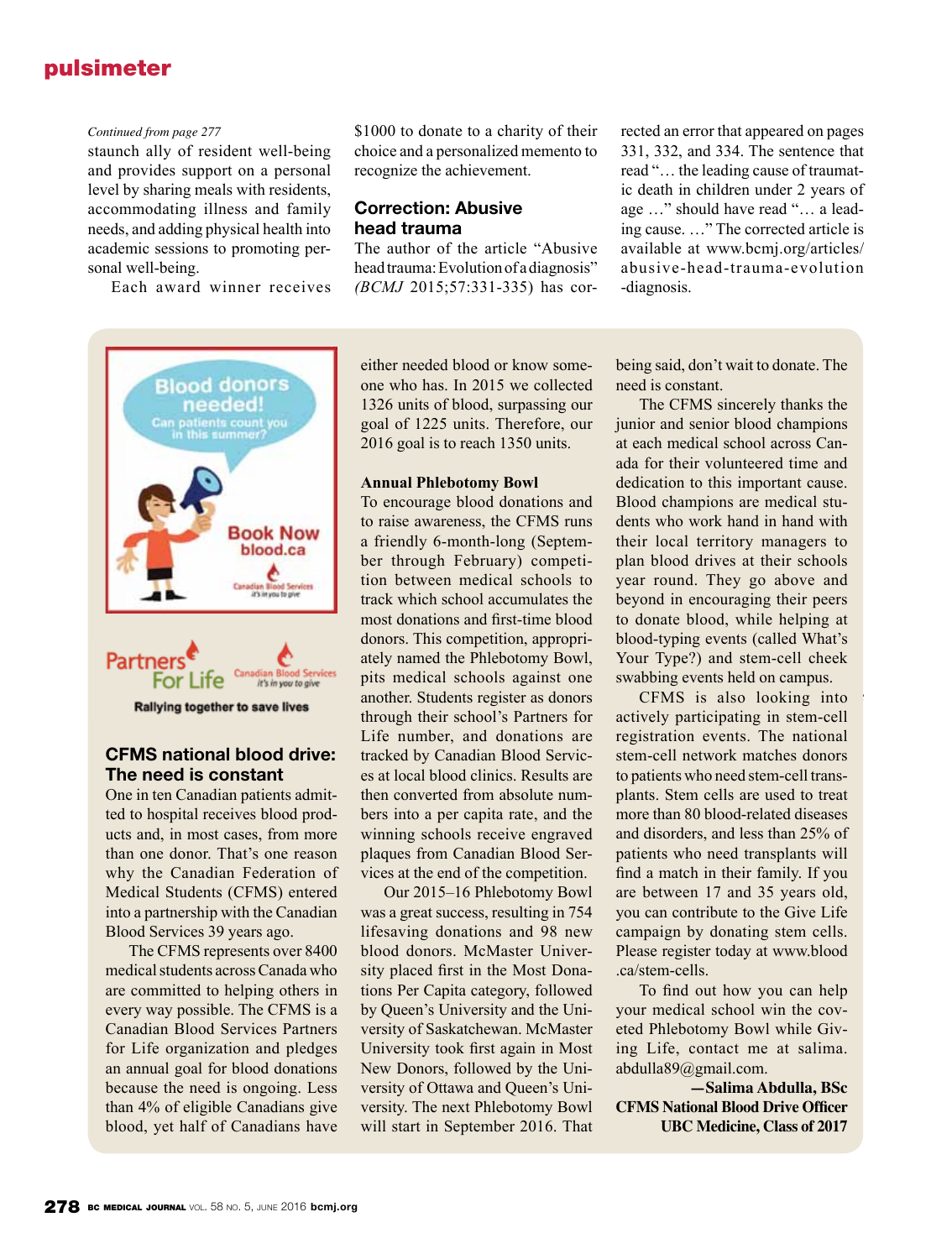#### *Continued from page 277*

staunch ally of resident well-being and provides support on a personal level by sharing meals with residents, accommodating illness and family needs, and adding physical health into academic sessions to promoting personal well-being.

Each award winner receives

\$1000 to donate to a charity of their choice and a personalized memento to recognize the achievement.

#### **Correction: Abusive head trauma**

The author of the article "Abusive head trauma: Evolution of a diagnosis" *(BCMJ* 2015;57:331-335) has corrected an error that appeared on pages 331, 332, and 334. The sentence that read "… the leading cause of traumatic death in children under 2 years of age …" should have read "… a leading cause. …" The corrected article is available at www.bcmj.org/articles/ abusive-head-trauma-evolution -diagnosis.





#### **CFMS national blood drive: The need is constant**

One in ten Canadian patients admitted to hospital receives blood products and, in most cases, from more than one donor. That's one reason why the Canadian Federation of Medical Students (CFMS) entered into a partnership with the Canadian Blood Services 39 years ago.

The CFMS represents over 8400 medical students across Canada who are committed to helping others in every way possible. The CFMS is a Canadian Blood Services Partners for Life organization and pledges an annual goal for blood donations because the need is ongoing. Less than 4% of eligible Canadians give blood, yet half of Canadians have

either needed blood or know someone who has. In 2015 we collected 1326 units of blood, surpassing our goal of 1225 units. Therefore, our 2016 goal is to reach 1350 units.

#### **Annual Phlebotomy Bowl**

To encourage blood donations and to raise awareness, the CFMS runs a friendly 6-month-long (September through February) competition between medical schools to track which school accumulates the most donations and first-time blood donors. This competition, appropriately named the Phlebotomy Bowl, pits medical schools against one another. Students register as donors through their school's Partners for Life number, and donations are tracked by Canadian Blood Services at local blood clinics. Results are then converted from absolute numbers into a per capita rate, and the winning schools receive engraved plaques from Canadian Blood Services at the end of the competition.

Our 2015–16 Phlebotomy Bowl was a great success, resulting in 754 lifesaving donations and 98 new blood donors. McMaster University placed first in the Most Donations Per Capita category, followed by Queen's University and the University of Saskatchewan. McMaster University took first again in Most New Donors, followed by the University of Ottawa and Queen's University. The next Phlebotomy Bowl will start in September 2016. That

being said, don't wait to donate. The need is constant.

The CFMS sincerely thanks the junior and senior blood champions at each medical school across Canada for their volunteered time and dedication to this important cause. Blood champions are medical students who work hand in hand with their local territory managers to plan blood drives at their schools year round. They go above and beyond in encouraging their peers to donate blood, while helping at blood-typing events (called What's Your Type?) and stem-cell cheek swabbing events held on campus.

CFMS is also looking into actively participating in stem-cell registration events. The national stem-cell network matches donors to patients who need stem-cell transplants. Stem cells are used to treat more than 80 blood-related diseases and disorders, and less than 25% of patients who need transplants will find a match in their family. If you are between 17 and 35 years old, you can contribute to the Give Life campaign by donating stem cells. Please register today at www.blood .ca/stem-cells.

To find out how you can help your medical school win the coveted Phlebotomy Bowl while Giving Life, contact me at salima. abdulla89@gmail.com.

**—Salima Abdulla, BSc CFMS National Blood Drive Officer UBC Medicine, Class of 2017**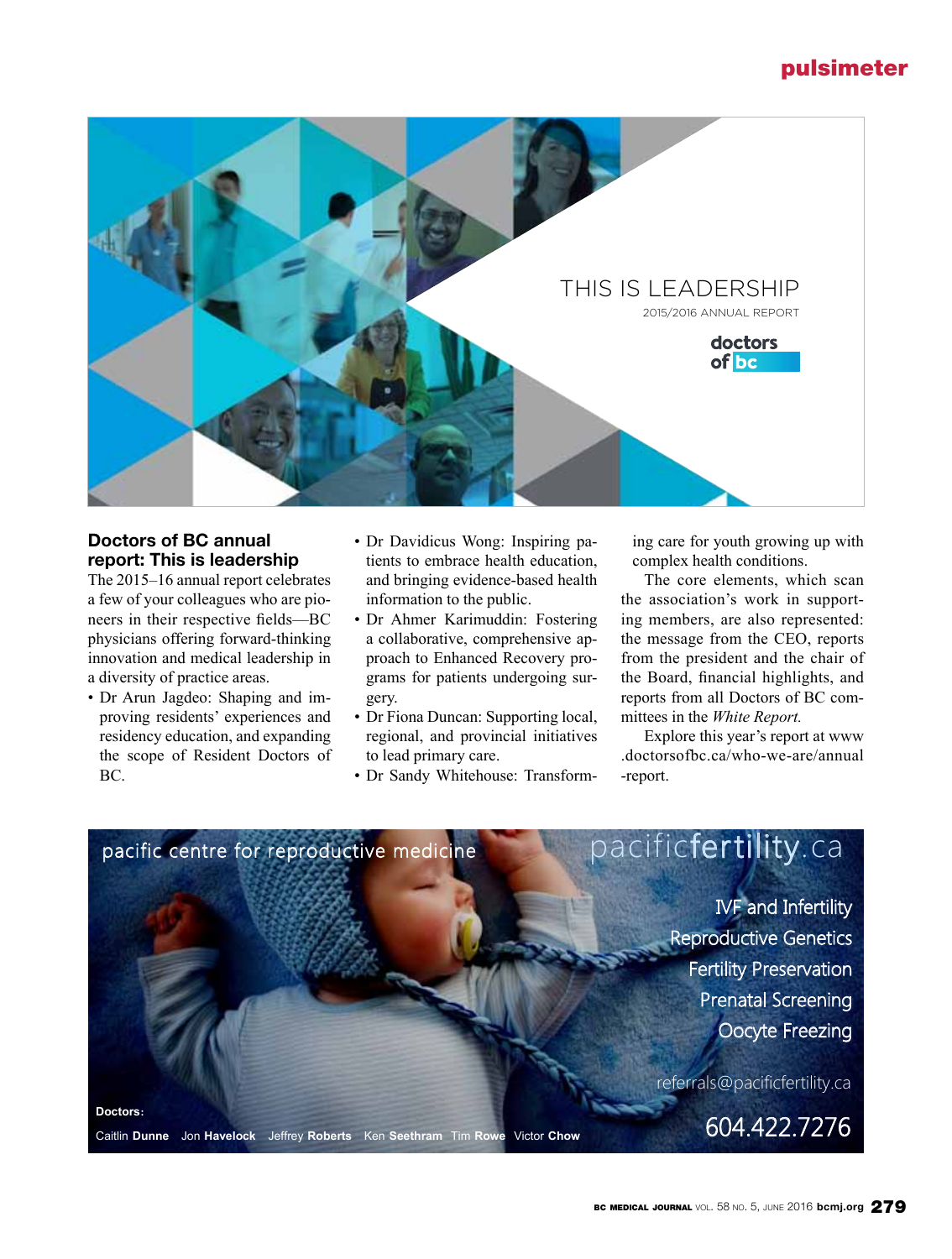

#### **Doctors of BC annual report: This is leadership**

The 2015–16 annual report celebrates a few of your colleagues who are pioneers in their respective fields—BC physicians offering forward-thinking innovation and medical leadership in a diversity of practice areas.

- Dr Arun Jagdeo: Shaping and improving residents' experiences and residency education, and expanding the scope of Resident Doctors of BC.
- Dr Davidicus Wong: Inspiring patients to embrace health education, and bringing evidence-based health information to the public.
- Dr Ahmer Karimuddin: Fostering a collaborative, comprehensive approach to Enhanced Recovery programs for patients undergoing surgery.
- Dr Fiona Duncan: Supporting local, regional, and provincial initiatives to lead primary care.
- Dr Sandy Whitehouse: Transform-

ing care for youth growing up with complex health conditions.

The core elements, which scan the association's work in supporting members, are also represented: the message from the CEO, reports from the president and the chair of the Board, financial highlights, and reports from all Doctors of BC committees in the *White Report.*

Explore this year's report at www .doctorsofbc.ca/who-we-are/annual -report.